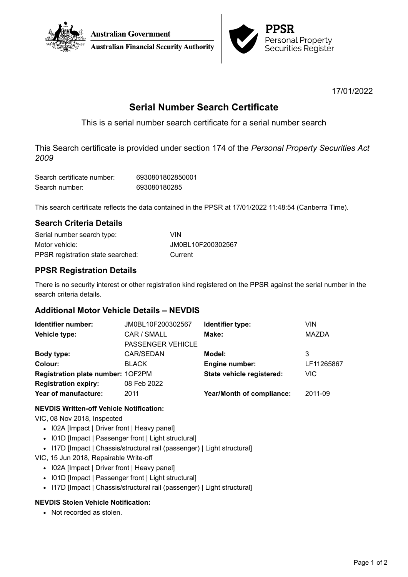



17/01/2022

# **Serial Number Search Certificate**

This is a serial number search certificate for a serial number search

This Search certificate is provided under section 174 of the *Personal Property Securities Act 2009*

| Search certificate number: | 6930801802850001 |
|----------------------------|------------------|
| Search number:             | 693080180285     |

This search certificate reflects the data contained in the PPSR at 17/01/2022 11:48:54 (Canberra Time).

## **Search Criteria Details**

| Serial number search type:        | <b>VIN</b>        |
|-----------------------------------|-------------------|
| Motor vehicle:                    | JM0BL10F200302567 |
| PPSR registration state searched: | Current           |

# **PPSR Registration Details**

There is no security interest or other registration kind registered on the PPSR against the serial number in the search criteria details.

## **Additional Motor Vehicle Details – NEVDIS**

| Identifier number:                | JM0BL10F200302567        | Identifier type:          | VIN          |
|-----------------------------------|--------------------------|---------------------------|--------------|
| Vehicle type:                     | CAR / SMALL              | Make:                     | <b>MAZDA</b> |
|                                   | <b>PASSENGER VEHICLE</b> |                           |              |
| Body type:                        | CAR/SEDAN                | Model:                    | 3            |
| Colour:                           | <b>BLACK</b>             | Engine number:            | LF11265867   |
| Registration plate number: 1OF2PM |                          | State vehicle registered: | <b>VIC</b>   |
| <b>Registration expiry:</b>       | 08 Feb 2022              |                           |              |
| Year of manufacture:              | 2011                     | Year/Month of compliance: | 2011-09      |

#### **NEVDIS Written-off Vehicle Notification:**

VIC, 08 Nov 2018, Inspected

- I02A [Impact | Driver front | Heavy panel]
- I01D [Impact | Passenger front | Light structural]
- I17D [Impact | Chassis/structural rail (passenger) | Light structural]

VIC, 15 Jun 2018, Repairable Write-off

- I02A [Impact | Driver front | Heavy panel]
- I01D [Impact | Passenger front | Light structural]
- I17D [Impact | Chassis/structural rail (passenger) | Light structural]

#### **NEVDIS Stolen Vehicle Notification:**

• Not recorded as stolen.